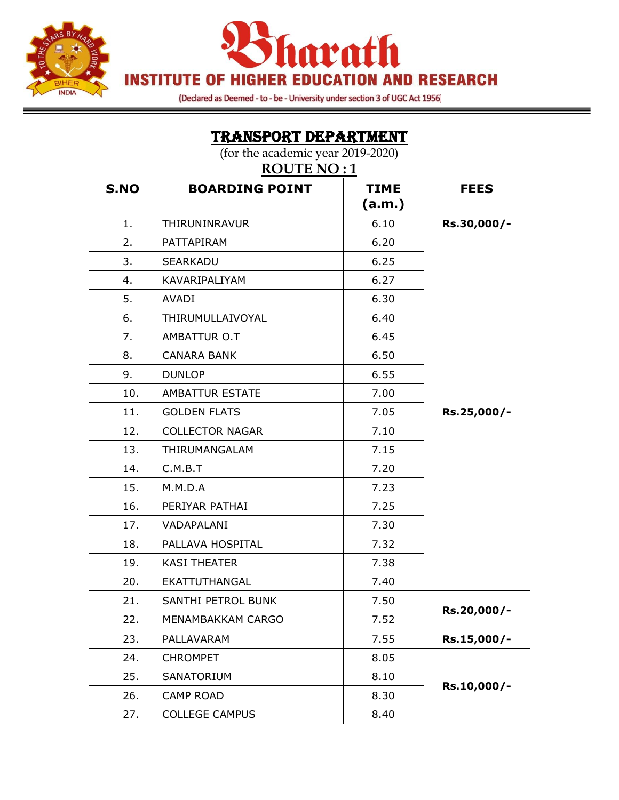



(Declared as Deemed - to - be - University under section 3 of UGC Act 1956)

TRANSPORT DEPARTMENT

| (for the academic year 2019-2020)<br><b>ROUTE NO:1</b> |                        |                       |             |
|--------------------------------------------------------|------------------------|-----------------------|-------------|
| S.NO                                                   | <b>BOARDING POINT</b>  | <b>TIME</b><br>(a.m.) | <b>FEES</b> |
| 1.                                                     | THIRUNINRAVUR          | 6.10                  | Rs.30,000/- |
| 2.                                                     | PATTAPIRAM             | 6.20                  |             |
| 3.                                                     | <b>SEARKADU</b>        | 6.25                  |             |
| 4.                                                     | KAVARIPALIYAM          | 6.27                  |             |
| 5.                                                     | <b>AVADI</b>           | 6.30                  |             |
| 6.                                                     | THIRUMULLAIVOYAL       | 6.40                  |             |
| 7.                                                     | AMBATTUR O.T           | 6.45                  |             |
| 8.                                                     | <b>CANARA BANK</b>     | 6.50                  |             |
| 9.                                                     | <b>DUNLOP</b>          | 6.55                  |             |
| 10.                                                    | AMBATTUR ESTATE        | 7.00                  |             |
| 11.                                                    | <b>GOLDEN FLATS</b>    | 7.05                  | Rs.25,000/- |
| 12.                                                    | <b>COLLECTOR NAGAR</b> | 7.10                  |             |
| 13.                                                    | THIRUMANGALAM          | 7.15                  |             |
| 14.                                                    | C.M.B.T                | 7.20                  |             |
| 15.                                                    | M.M.D.A                | 7.23                  |             |
| 16.                                                    | PERIYAR PATHAI         | 7.25                  |             |
| 17.                                                    | VADAPALANI             | 7.30                  |             |
| 18.                                                    | PALLAVA HOSPITAL       | 7.32                  |             |
| 19.                                                    | <b>KASI THEATER</b>    | 7.38                  |             |
| 20.                                                    | EKATTUTHANGAL          | 7.40                  |             |
| 21.                                                    | SANTHI PETROL BUNK     | 7.50                  |             |
| 22.                                                    | MENAMBAKKAM CARGO      | 7.52                  | Rs.20,000/- |
| 23.                                                    | PALLAVARAM             | 7.55                  | Rs.15,000/- |
| 24.                                                    | <b>CHROMPET</b>        | 8.05                  |             |
| 25.                                                    | SANATORIUM             | 8.10                  |             |
| 26.                                                    | <b>CAMP ROAD</b>       | 8.30                  | Rs.10,000/- |
| 27.                                                    | <b>COLLEGE CAMPUS</b>  | 8.40                  |             |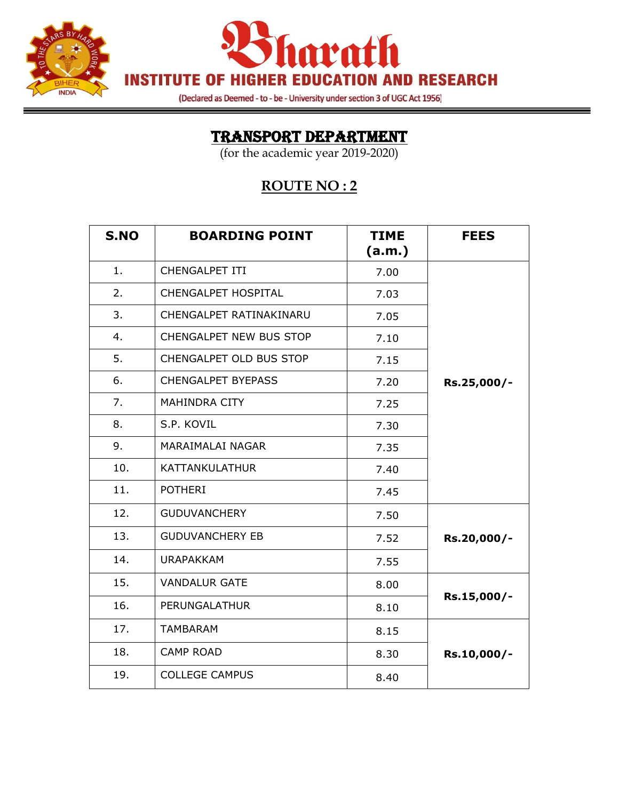



(Declared as Deemed - to - be - University under section 3 of UGC Act 1956)

### TRANSPORT DEPARTMENT

(for the academic year 2019-2020)

#### **ROUTE NO : 2**

| S.NO | <b>BOARDING POINT</b>     | <b>TIME</b><br>(a.m.) | <b>FEES</b> |
|------|---------------------------|-----------------------|-------------|
| 1.   | CHENGALPET ITI            | 7.00                  |             |
| 2.   | CHENGALPET HOSPITAL       | 7.03                  |             |
| 3.   | CHENGALPET RATINAKINARU   | 7.05                  |             |
| 4.   | CHENGALPET NEW BUS STOP   | 7.10                  |             |
| 5.   | CHENGALPET OLD BUS STOP   | 7.15                  |             |
| 6.   | <b>CHENGALPET BYEPASS</b> | 7.20                  | Rs.25,000/- |
| 7.   | MAHINDRA CITY             | 7.25                  |             |
| 8.   | S.P. KOVIL                | 7.30                  |             |
| 9.   | MARAIMALAI NAGAR          | 7.35                  |             |
| 10.  | KATTANKULATHUR            | 7.40                  |             |
| 11.  | <b>POTHERI</b>            | 7.45                  |             |
| 12.  | <b>GUDUVANCHERY</b>       | 7.50                  |             |
| 13.  | <b>GUDUVANCHERY EB</b>    | 7.52                  | Rs.20,000/- |
| 14.  | <b>URAPAKKAM</b>          | 7.55                  |             |
| 15.  | <b>VANDALUR GATE</b>      | 8.00                  |             |
| 16.  | PERUNGALATHUR             | 8.10                  | Rs.15,000/- |
| 17.  | <b>TAMBARAM</b>           | 8.15                  |             |
| 18.  | <b>CAMP ROAD</b>          | 8.30                  | Rs.10,000/- |
| 19.  | <b>COLLEGE CAMPUS</b>     | 8.40                  |             |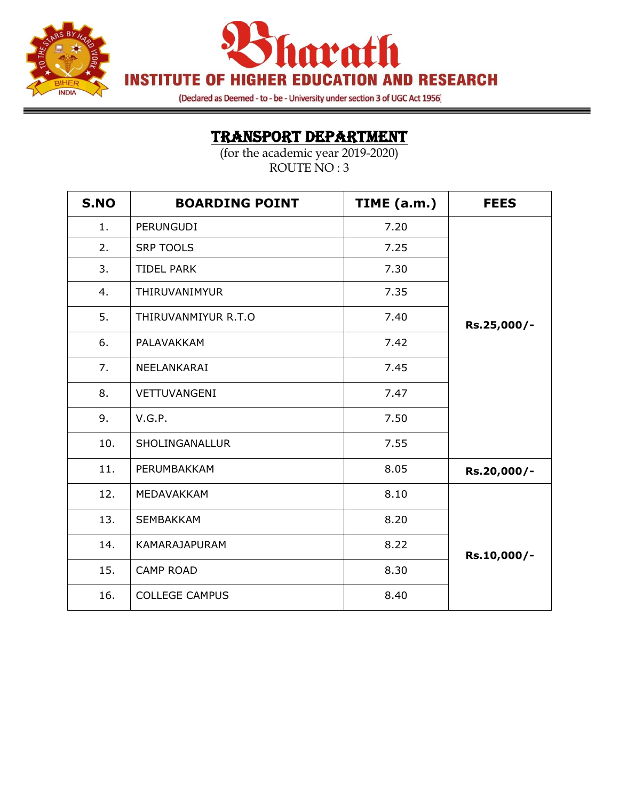

harath **INSTITUTE OF HIGHER EDUCATION AND RESEARCH** 

(Declared as Deemed - to - be - University under section 3 of UGC Act 1956)

═

### TRANSPORT DEPARTMENT

| S.NO | <b>BOARDING POINT</b> | TIME (a.m.) | <b>FEES</b> |
|------|-----------------------|-------------|-------------|
| 1.   | <b>PERUNGUDI</b>      | 7.20        |             |
| 2.   | <b>SRP TOOLS</b>      | 7.25        |             |
| 3.   | <b>TIDEL PARK</b>     | 7.30        |             |
| 4.   | THIRUVANIMYUR         | 7.35        |             |
| 5.   | THIRUVANMIYUR R.T.O   | 7.40        | Rs.25,000/- |
| 6.   | PALAVAKKAM            | 7.42        |             |
| 7.   | NEELANKARAI           | 7.45        |             |
| 8.   | VETTUVANGENI          | 7.47        |             |
| 9.   | V.G.P.                | 7.50        |             |
| 10.  | SHOLINGANALLUR        | 7.55        |             |
| 11.  | PERUMBAKKAM           | 8.05        | Rs.20,000/- |
| 12.  | MEDAVAKKAM            | 8.10        |             |
| 13.  | <b>SEMBAKKAM</b>      | 8.20        |             |
| 14.  | <b>KAMARAJAPURAM</b>  | 8.22        | Rs.10,000/- |
| 15.  | <b>CAMP ROAD</b>      | 8.30        |             |
| 16.  | <b>COLLEGE CAMPUS</b> | 8.40        |             |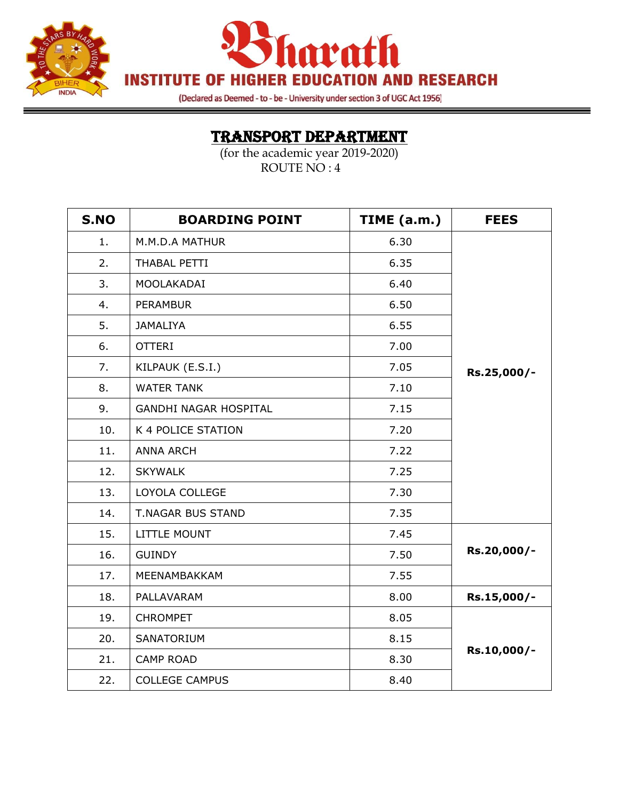



(Declared as Deemed - to - be - University under section 3 of UGC Act 1956)

# TRANSPORT DEPARTMENT

| S.NO | <b>BOARDING POINT</b>        | TIME (a.m.) | <b>FEES</b> |
|------|------------------------------|-------------|-------------|
| 1.   | M.M.D.A MATHUR               | 6.30        |             |
| 2.   | THABAL PETTI                 | 6.35        |             |
| 3.   | MOOLAKADAI                   | 6.40        |             |
| 4.   | <b>PERAMBUR</b>              | 6.50        |             |
| 5.   | <b>JAMALIYA</b>              | 6.55        |             |
| 6.   | <b>OTTERI</b>                | 7.00        |             |
| 7.   | KILPAUK (E.S.I.)             | 7.05        | Rs.25,000/- |
| 8.   | <b>WATER TANK</b>            | 7.10        |             |
| 9.   | <b>GANDHI NAGAR HOSPITAL</b> | 7.15        |             |
| 10.  | K 4 POLICE STATION           | 7.20        |             |
| 11.  | <b>ANNA ARCH</b>             | 7.22        |             |
| 12.  | <b>SKYWALK</b>               | 7.25        |             |
| 13.  | LOYOLA COLLEGE               | 7.30        |             |
| 14.  | <b>T.NAGAR BUS STAND</b>     | 7.35        |             |
| 15.  | LITTLE MOUNT                 | 7.45        |             |
| 16.  | <b>GUINDY</b>                | 7.50        | Rs.20,000/- |
| 17.  | MEENAMBAKKAM                 | 7.55        |             |
| 18.  | PALLAVARAM                   | 8.00        | Rs.15,000/- |
| 19.  | <b>CHROMPET</b>              | 8.05        |             |
| 20.  | SANATORIUM                   | 8.15        |             |
| 21.  | <b>CAMP ROAD</b>             | 8.30        | Rs.10,000/- |
| 22.  | <b>COLLEGE CAMPUS</b>        | 8.40        |             |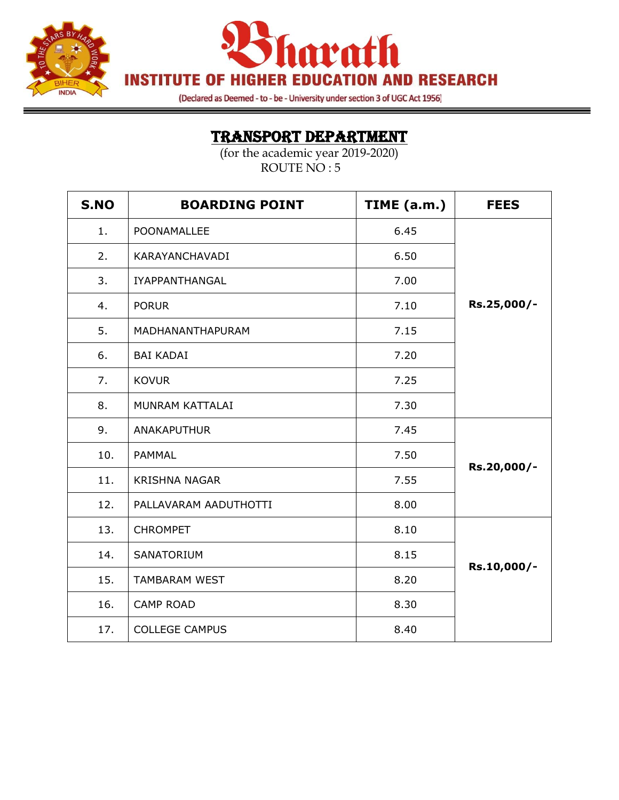



(Declared as Deemed - to - be - University under section 3 of UGC Act 1956)

═

# TRANSPORT DEPARTMENT

| S.NO | <b>BOARDING POINT</b> | TIME (a.m.) | <b>FEES</b> |
|------|-----------------------|-------------|-------------|
| 1.   | POONAMALLEE           | 6.45        |             |
| 2.   | KARAYANCHAVADI        | 6.50        |             |
| 3.   | <b>IYAPPANTHANGAL</b> | 7.00        |             |
| 4.   | <b>PORUR</b>          | 7.10        | Rs.25,000/- |
| 5.   | MADHANANTHAPURAM      | 7.15        |             |
| 6.   | <b>BAI KADAI</b>      | 7.20        |             |
| 7.   | <b>KOVUR</b>          | 7.25        |             |
| 8.   | MUNRAM KATTALAI       | 7.30        |             |
| 9.   | ANAKAPUTHUR           | 7.45        |             |
| 10.  | <b>PAMMAL</b>         | 7.50        | Rs.20,000/- |
| 11.  | <b>KRISHNA NAGAR</b>  | 7.55        |             |
| 12.  | PALLAVARAM AADUTHOTTI | 8.00        |             |
| 13.  | <b>CHROMPET</b>       | 8.10        |             |
| 14.  | SANATORIUM            | 8.15        | Rs.10,000/- |
| 15.  | <b>TAMBARAM WEST</b>  | 8.20        |             |
| 16.  | <b>CAMP ROAD</b>      | 8.30        |             |
| 17.  | <b>COLLEGE CAMPUS</b> | 8.40        |             |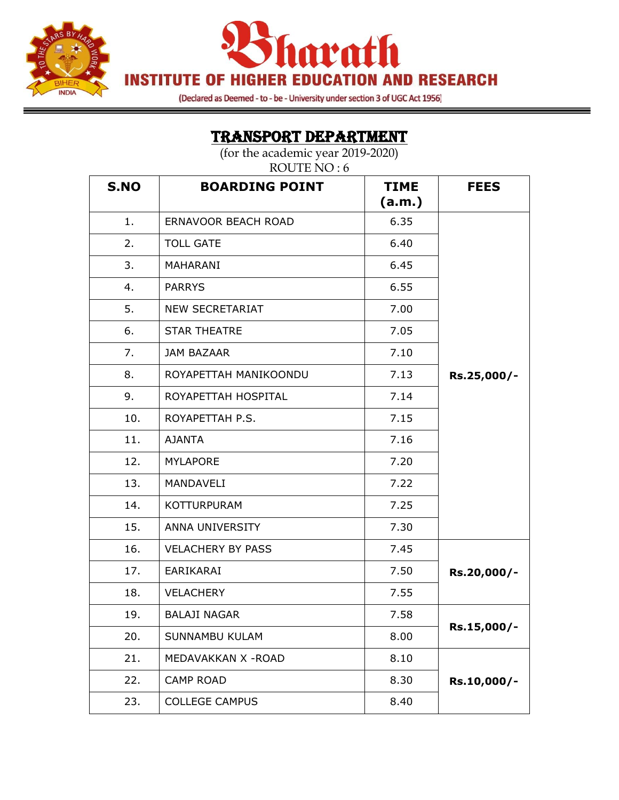



(Declared as Deemed - to - be - University under section 3 of UGC Act 1956)

═

# TRANSPORT DEPARTMENT

| <b>S.NO</b> | <b>BOARDING POINT</b>    | <b>TIME</b><br>(a.m.) | <b>FEES</b> |
|-------------|--------------------------|-----------------------|-------------|
| 1.          | ERNAVOOR BEACH ROAD      | 6.35                  |             |
| 2.          | <b>TOLL GATE</b>         | 6.40                  |             |
| 3.          | MAHARANI                 | 6.45                  |             |
| 4.          | <b>PARRYS</b>            | 6.55                  |             |
| 5.          | <b>NEW SECRETARIAT</b>   | 7.00                  |             |
| 6.          | <b>STAR THEATRE</b>      | 7.05                  |             |
| 7.          | <b>JAM BAZAAR</b>        | 7.10                  |             |
| 8.          | ROYAPETTAH MANIKOONDU    | 7.13                  | Rs.25,000/- |
| 9.          | ROYAPETTAH HOSPITAL      | 7.14                  |             |
| 10.         | ROYAPETTAH P.S.          | 7.15                  |             |
| 11.         | <b>AJANTA</b>            | 7.16                  |             |
| 12.         | <b>MYLAPORE</b>          | 7.20                  |             |
| 13.         | MANDAVELI                | 7.22                  |             |
| 14.         | <b>KOTTURPURAM</b>       | 7.25                  |             |
| 15.         | ANNA UNIVERSITY          | 7.30                  |             |
| 16.         | <b>VELACHERY BY PASS</b> | 7.45                  |             |
| 17.         | <b>EARIKARAI</b>         | 7.50                  | Rs.20,000/- |
| 18.         | <b>VELACHERY</b>         | 7.55                  |             |
| 19.         | <b>BALAJI NAGAR</b>      | 7.58                  |             |
| 20.         | SUNNAMBU KULAM           | 8.00                  | Rs.15,000/- |
| 21.         | MEDAVAKKAN X - ROAD      | 8.10                  |             |
| 22.         | <b>CAMP ROAD</b>         | 8.30                  | Rs.10,000/- |
| 23.         | <b>COLLEGE CAMPUS</b>    | 8.40                  |             |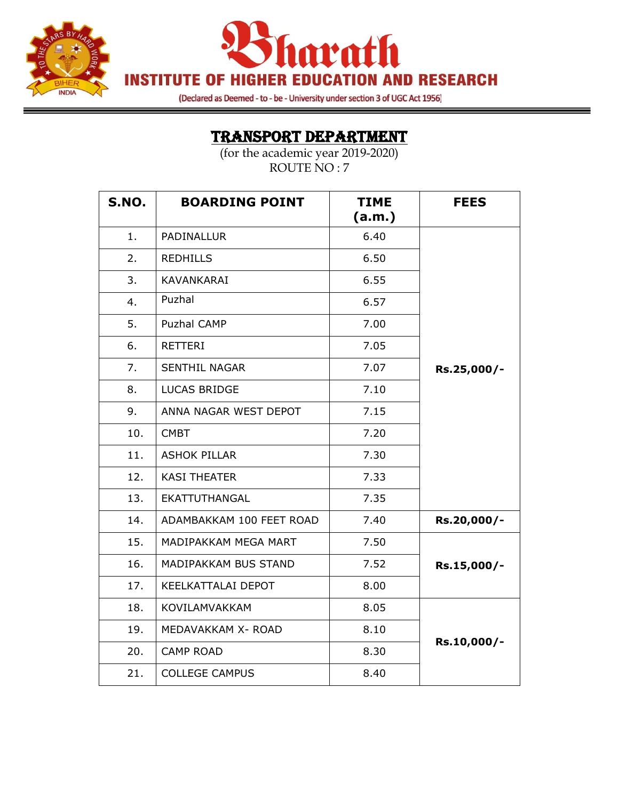



(Declared as Deemed - to - be - University under section 3 of UGC Act 1956)

### TRANSPORT DEPARTMENT

| S.NO. | <b>BOARDING POINT</b>    | <b>TIME</b><br>(a.m.) | <b>FEES</b> |
|-------|--------------------------|-----------------------|-------------|
| 1.    | PADINALLUR               | 6.40                  |             |
| 2.    | <b>REDHILLS</b>          | 6.50                  |             |
| 3.    | KAVANKARAI               | 6.55                  |             |
| 4.    | Puzhal                   | 6.57                  |             |
| 5.    | Puzhal CAMP              | 7.00                  |             |
| 6.    | <b>RETTERI</b>           | 7.05                  |             |
| 7.    | <b>SENTHIL NAGAR</b>     | 7.07                  | Rs.25,000/- |
| 8.    | <b>LUCAS BRIDGE</b>      | 7.10                  |             |
| 9.    | ANNA NAGAR WEST DEPOT    | 7.15                  |             |
| 10.   | <b>CMBT</b>              | 7.20                  |             |
| 11.   | <b>ASHOK PILLAR</b>      | 7.30                  |             |
| 12.   | <b>KASI THEATER</b>      | 7.33                  |             |
| 13.   | EKATTUTHANGAL            | 7.35                  |             |
| 14.   | ADAMBAKKAM 100 FEET ROAD | 7.40                  | Rs.20,000/- |
| 15.   | MADIPAKKAM MEGA MART     | 7.50                  |             |
| 16.   | MADIPAKKAM BUS STAND     | 7.52                  | Rs.15,000/- |
| 17.   | KEELKATTALAI DEPOT       | 8.00                  |             |
| 18.   | KOVILAMVAKKAM            | 8.05                  |             |
| 19.   | MEDAVAKKAM X- ROAD       | 8.10                  |             |
| 20.   | <b>CAMP ROAD</b>         | 8.30                  | Rs.10,000/- |
| 21.   | <b>COLLEGE CAMPUS</b>    | 8.40                  |             |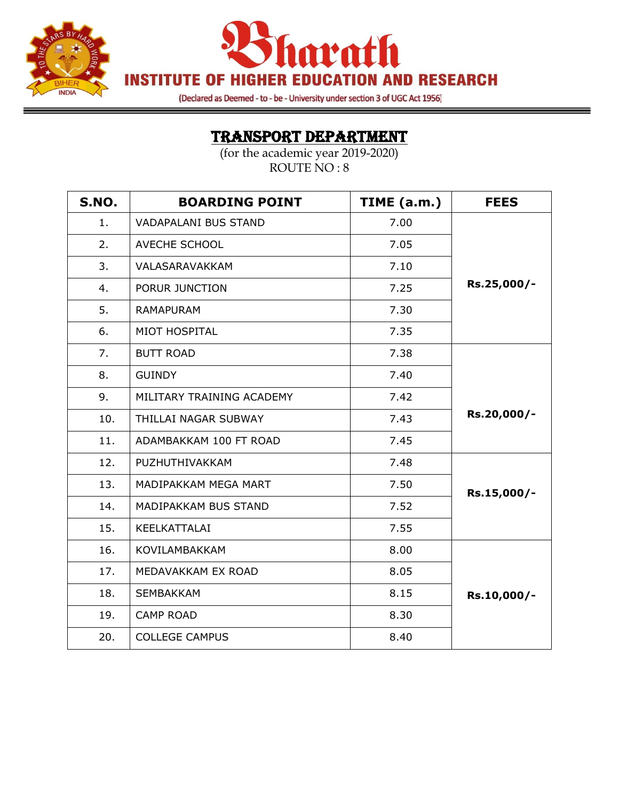

**Invath INSTITUTE OF HIGHER EDUCATION AND RESEARCH** 

(Declared as Deemed - to - be - University under section 3 of UGC Act 1956)

### TRANSPORT DEPARTMENT

| <b>S.NO.</b> | <b>BOARDING POINT</b>       | TIME (a.m.) | <b>FEES</b> |
|--------------|-----------------------------|-------------|-------------|
| 1.           | <b>VADAPALANI BUS STAND</b> | 7.00        |             |
| 2.           | AVECHE SCHOOL               | 7.05        |             |
| 3.           | VALASARAVAKKAM              | 7.10        |             |
| 4.           | PORUR JUNCTION              | 7.25        | Rs.25,000/- |
| 5.           | <b>RAMAPURAM</b>            | 7.30        |             |
| 6.           | MIOT HOSPITAL               | 7.35        |             |
| 7.           | <b>BUTT ROAD</b>            | 7.38        |             |
| 8.           | <b>GUINDY</b>               | 7.40        |             |
| 9.           | MILITARY TRAINING ACADEMY   | 7.42        |             |
| 10.          | THILLAI NAGAR SUBWAY        | 7.43        | Rs.20,000/- |
| 11.          | ADAMBAKKAM 100 FT ROAD      | 7.45        |             |
| 12.          | PUZHUTHIVAKKAM              | 7.48        |             |
| 13.          | MADIPAKKAM MEGA MART        | 7.50        | Rs.15,000/- |
| 14.          | MADIPAKKAM BUS STAND        | 7.52        |             |
| 15.          | KEELKATTALAI                | 7.55        |             |
| 16.          | KOVILAMBAKKAM               | 8.00        |             |
| 17.          | MEDAVAKKAM EX ROAD          | 8.05        |             |
| 18.          | <b>SEMBAKKAM</b>            | 8.15        | Rs.10,000/- |
| 19.          | <b>CAMP ROAD</b>            | 8.30        |             |
| 20.          | <b>COLLEGE CAMPUS</b>       | 8.40        |             |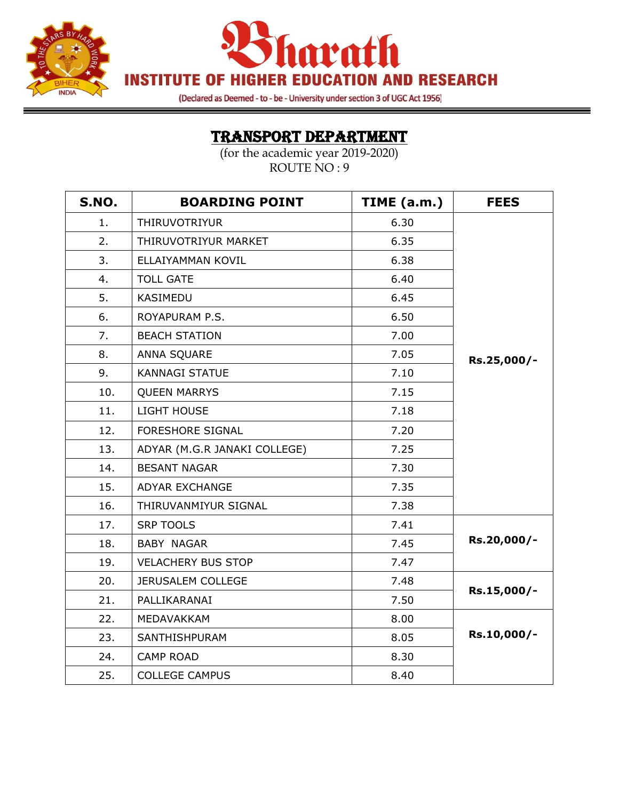



(Declared as Deemed - to - be - University under section 3 of UGC Act 1956)

# TRANSPORT DEPARTMENT

═

| <b>S.NO.</b> | <b>BOARDING POINT</b>        | TIME (a.m.) | <b>FEES</b> |
|--------------|------------------------------|-------------|-------------|
| 1.           | THIRUVOTRIYUR                | 6.30        |             |
| 2.           | THIRUVOTRIYUR MARKET         | 6.35        |             |
| 3.           | ELLAIYAMMAN KOVIL            | 6.38        |             |
| 4.           | <b>TOLL GATE</b>             | 6.40        |             |
| 5.           | KASIMEDU                     | 6.45        |             |
| 6.           | ROYAPURAM P.S.               | 6.50        |             |
| 7.           | <b>BEACH STATION</b>         | 7.00        |             |
| 8.           | ANNA SQUARE                  | 7.05        | Rs.25,000/- |
| 9.           | <b>KANNAGI STATUE</b>        | 7.10        |             |
| 10.          | <b>QUEEN MARRYS</b>          | 7.15        |             |
| 11.          | LIGHT HOUSE                  | 7.18        |             |
| 12.          | <b>FORESHORE SIGNAL</b>      | 7.20        |             |
| 13.          | ADYAR (M.G.R JANAKI COLLEGE) | 7.25        |             |
| 14.          | <b>BESANT NAGAR</b>          | 7.30        |             |
| 15.          | <b>ADYAR EXCHANGE</b>        | 7.35        |             |
| 16.          | THIRUVANMIYUR SIGNAL         | 7.38        |             |
| 17.          | <b>SRP TOOLS</b>             | 7.41        |             |
| 18.          | <b>BABY NAGAR</b>            | 7.45        | Rs.20,000/- |
| 19.          | <b>VELACHERY BUS STOP</b>    | 7.47        |             |
| 20.          | <b>JERUSALEM COLLEGE</b>     | 7.48        |             |
| 21.          | PALLIKARANAI                 | 7.50        | Rs.15,000/- |
| 22.          | MEDAVAKKAM                   | 8.00        |             |
| 23.          | SANTHISHPURAM                | 8.05        | Rs.10,000/- |
| 24.          | <b>CAMP ROAD</b>             | 8.30        |             |
| 25.          | <b>COLLEGE CAMPUS</b>        | 8.40        |             |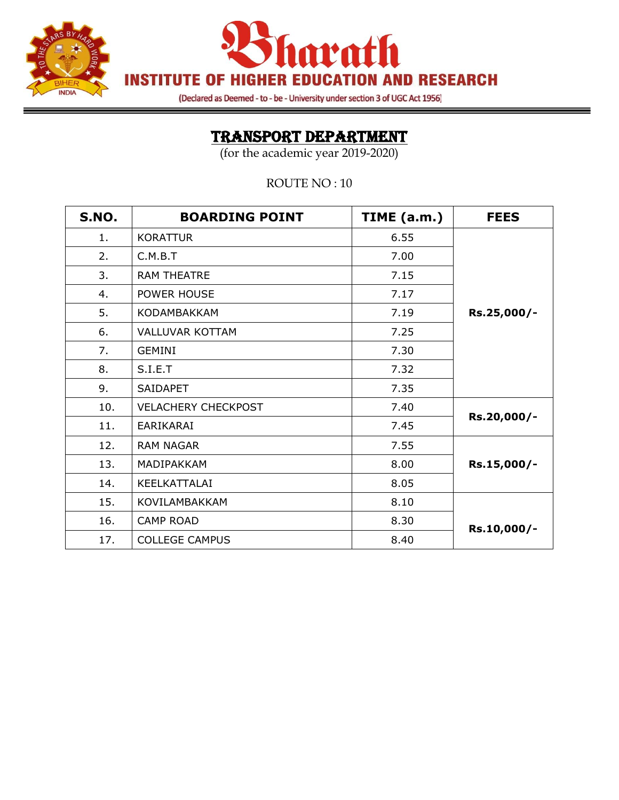



(Declared as Deemed - to - be - University under section 3 of UGC Act 1956)

# TRANSPORT DEPARTMENT

(for the academic year 2019-2020)

ROUTE NO : 10

| <b>S.NO.</b> | <b>BOARDING POINT</b>      | TIME (a.m.) | <b>FEES</b> |
|--------------|----------------------------|-------------|-------------|
| 1.           | <b>KORATTUR</b>            | 6.55        |             |
| 2.           | C.M.B.T                    | 7.00        |             |
| 3.           | <b>RAM THEATRE</b>         | 7.15        |             |
| 4.           | POWER HOUSE                | 7.17        |             |
| 5.           | <b>KODAMBAKKAM</b>         | 7.19        | Rs.25,000/- |
| 6.           | <b>VALLUVAR KOTTAM</b>     | 7.25        |             |
| 7.           | <b>GEMINI</b>              | 7.30        |             |
| 8.           | S.I.E.T                    | 7.32        |             |
| 9.           | <b>SAIDAPET</b>            | 7.35        |             |
| 10.          | <b>VELACHERY CHECKPOST</b> | 7.40        |             |
| 11.          | EARIKARAI                  | 7.45        | Rs.20,000/- |
| 12.          | <b>RAM NAGAR</b>           | 7.55        |             |
| 13.          | MADIPAKKAM                 | 8.00        | Rs.15,000/- |
| 14.          | KEELKATTALAI               | 8.05        |             |
| 15.          | KOVILAMBAKKAM              | 8.10        |             |
| 16.          | <b>CAMP ROAD</b>           | 8.30        | Rs.10,000/- |
| 17.          | <b>COLLEGE CAMPUS</b>      | 8.40        |             |